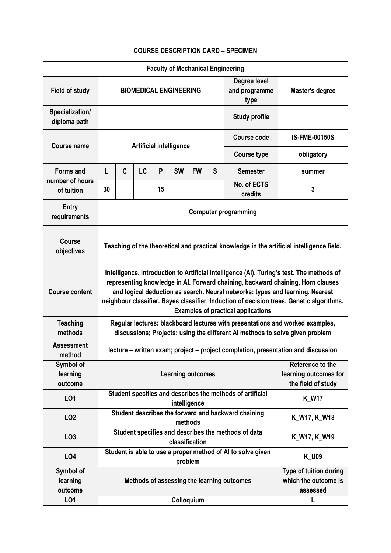## **COURSE DESCRIPTION CARD – SPECIMEN**

| <b>Faculty of Mechanical Engineering</b> |                                                                                                                                                                                                                                                                                                                                                                                                        |                                                                                        |    |    |           |            |                                       |                                                                                                          |                      |  |  |  |
|------------------------------------------|--------------------------------------------------------------------------------------------------------------------------------------------------------------------------------------------------------------------------------------------------------------------------------------------------------------------------------------------------------------------------------------------------------|----------------------------------------------------------------------------------------|----|----|-----------|------------|---------------------------------------|----------------------------------------------------------------------------------------------------------|----------------------|--|--|--|
| <b>Field of study</b>                    | <b>BIOMEDICAL ENGINEERING</b>                                                                                                                                                                                                                                                                                                                                                                          |                                                                                        |    |    |           |            | Degree level<br>and programme<br>type | Master's degree                                                                                          |                      |  |  |  |
| Specialization/<br>diploma path          |                                                                                                                                                                                                                                                                                                                                                                                                        |                                                                                        |    |    |           |            |                                       | <b>Study profile</b>                                                                                     |                      |  |  |  |
| <b>Course name</b>                       | <b>Artificial intelligence</b>                                                                                                                                                                                                                                                                                                                                                                         |                                                                                        |    |    |           |            |                                       | <b>Course code</b>                                                                                       | <b>IS-FME-00150S</b> |  |  |  |
|                                          |                                                                                                                                                                                                                                                                                                                                                                                                        |                                                                                        |    |    |           |            |                                       | <b>Course type</b>                                                                                       | obligatory           |  |  |  |
| <b>Forms and</b><br>number of hours      | L                                                                                                                                                                                                                                                                                                                                                                                                      | C                                                                                      | LC | P  | <b>SW</b> | <b>FW</b>  | S                                     | <b>Semester</b>                                                                                          | summer               |  |  |  |
| of tuition                               | 30                                                                                                                                                                                                                                                                                                                                                                                                     |                                                                                        |    | 15 |           |            |                                       | No. of ECTS<br>credits                                                                                   | 3                    |  |  |  |
| <b>Entry</b><br>requirements             |                                                                                                                                                                                                                                                                                                                                                                                                        |                                                                                        |    |    |           |            |                                       | <b>Computer programming</b>                                                                              |                      |  |  |  |
| <b>Course</b><br>objectives              | Teaching of the theoretical and practical knowledge in the artificial intelligence field.                                                                                                                                                                                                                                                                                                              |                                                                                        |    |    |           |            |                                       |                                                                                                          |                      |  |  |  |
| <b>Course content</b>                    | Intelligence. Introduction to Artificial Intelligence (AI). Turing's test. The methods of<br>representing knowledge in Al. Forward chaining, backward chaining, Horn clauses<br>and logical deduction as search. Neural networks: types and learning. Nearest<br>neighbour classifier. Bayes classifier. Induction of decision trees. Genetic algorithms.<br><b>Examples of practical applications</b> |                                                                                        |    |    |           |            |                                       |                                                                                                          |                      |  |  |  |
| <b>Teaching</b><br>methods               | Regular lectures: blackboard lectures with presentations and worked examples,<br>discussions; Projects: using the different AI methods to solve given problem                                                                                                                                                                                                                                          |                                                                                        |    |    |           |            |                                       |                                                                                                          |                      |  |  |  |
| <b>Assessment</b><br>method              | lecture - written exam; project - project completion, presentation and discussion                                                                                                                                                                                                                                                                                                                      |                                                                                        |    |    |           |            |                                       |                                                                                                          |                      |  |  |  |
| Symbol of<br>learning<br>outcome         | Reference to the<br>learning outcomes for<br><b>Learning outcomes</b><br>the field of study                                                                                                                                                                                                                                                                                                            |                                                                                        |    |    |           |            |                                       |                                                                                                          |                      |  |  |  |
| L01                                      | Student specifies and describes the methods of artificial<br>intelligence                                                                                                                                                                                                                                                                                                                              |                                                                                        |    |    |           |            |                                       | <b>K_W17</b>                                                                                             |                      |  |  |  |
| LO <sub>2</sub>                          | Student describes the forward and backward chaining<br><b>K_W17, K_W18</b><br>methods                                                                                                                                                                                                                                                                                                                  |                                                                                        |    |    |           |            |                                       |                                                                                                          |                      |  |  |  |
| LO <sub>3</sub>                          | Student specifies and describes the methods of data<br>classification                                                                                                                                                                                                                                                                                                                                  |                                                                                        |    |    |           |            |                                       | <b>K_W17, K_W19</b>                                                                                      |                      |  |  |  |
| L04                                      |                                                                                                                                                                                                                                                                                                                                                                                                        | Student is able to use a proper method of AI to solve given<br><b>K U09</b><br>problem |    |    |           |            |                                       |                                                                                                          |                      |  |  |  |
| Symbol of<br>learning<br>outcome         |                                                                                                                                                                                                                                                                                                                                                                                                        |                                                                                        |    |    |           |            |                                       | Type of tuition during<br>which the outcome is<br>Methods of assessing the learning outcomes<br>assessed |                      |  |  |  |
| LO1                                      |                                                                                                                                                                                                                                                                                                                                                                                                        |                                                                                        |    |    |           | Colloquium |                                       |                                                                                                          |                      |  |  |  |